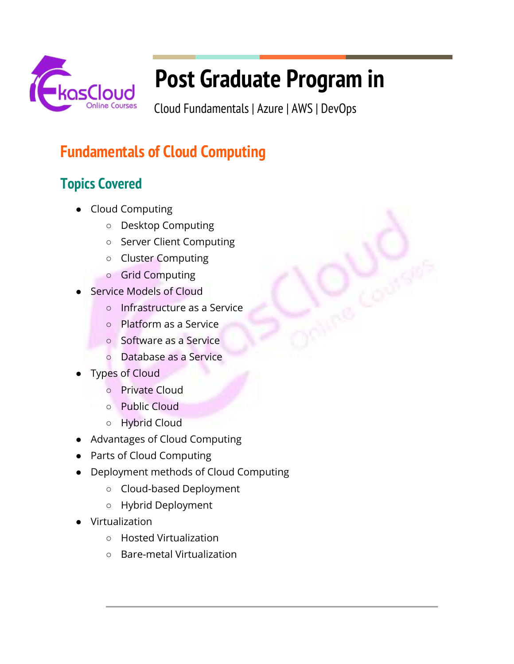

# **Post Graduate Program in**

Cloud Fundamentals | Azure | AWS | DevOps

# **Fundamentals of Cloud Computing**

# **Topics Covered**

- Cloud Computing
	- Desktop Computing
	- Server Client Computing
	- Cluster Computing
	- Grid Computing
- **Service Models of Cloud** 
	- Infrastructure as a Service
	- Platform as a Service
	- Software as a Service
	- Database as a Service
- **Types of Cloud** 
	- Private Cloud
	- Public Cloud
	- Hybrid Cloud
- Advantages of Cloud Computing
- Parts of Cloud Computing
- Deployment methods of Cloud Computing
	- Cloud-based Deployment
	- Hybrid Deployment
- Virtualization
	- Hosted Virtualization
	- Bare-metal Virtualization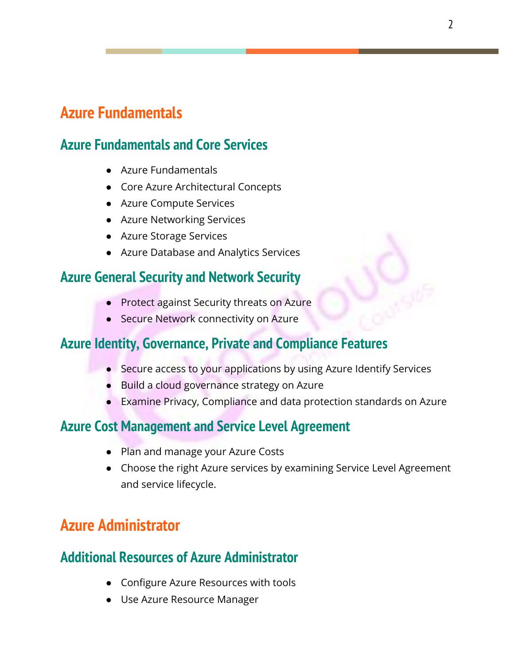### **Azure Fundamentals**

### **Azure Fundamentals and Core Services**

- Azure Fundamentals
- Core Azure Architectural Concepts
- Azure Compute Services
- Azure Networking Services
- Azure Storage Services
- Azure Database and Analytics Services

### **Azure General Security and Network Security**

- Protect against Security threats on Azure
- Secure Network connectivity on Azure

### **Azure Identity, Governance, Private and Compliance Features**

- Secure access to your applications by using Azure Identify Services
- Build a cloud governance strategy on Azure
- Examine Privacy, Compliance and data protection standards on Azure

### **Azure Cost Management and Service Level Agreement**

- Plan and manage your Azure Costs
- Choose the right Azure services by examining Service Level Agreement and service lifecycle.

# **Azure Administrator**

### **Additional Resources of Azure Administrator**

- Configure Azure Resources with tools
- Use Azure Resource Manager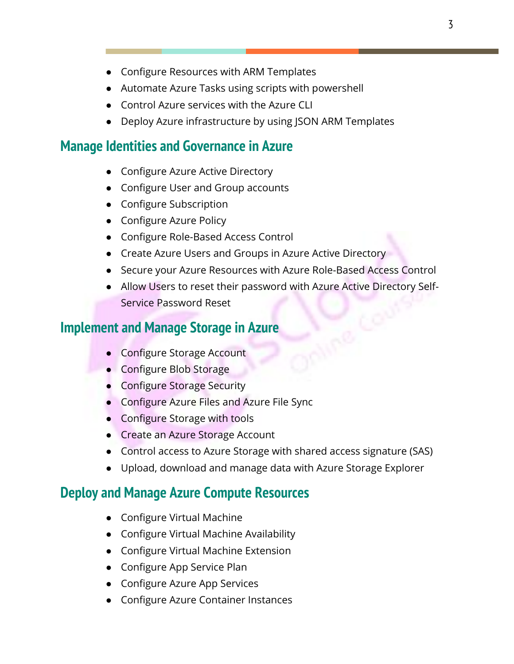- Configure Resources with ARM Templates
- Automate Azure Tasks using scripts with powershell
- Control Azure services with the Azure CLI
- Deploy Azure infrastructure by using JSON ARM Templates

#### **Manage Identities and Governance in Azure**

- Configure Azure Active Directory
- Configure User and Group accounts
- Configure Subscription
- Configure Azure Policy
- Configure Role-Based Access Control
- Create Azure Users and Groups in Azure Active Directory
- Secure your Azure Resources with Azure Role-Based Access Control
- Allow Users to reset their password with Azure Active Directory Self-Service Password Reset

#### **Implement and Manage Storage in Azure**

- Configure Storage Account
- Configure Blob Storage
- Configure Storage Security
- Configure Azure Files and Azure File Sync
- Configure Storage with tools
- Create an Azure Storage Account
- Control access to Azure Storage with shared access signature (SAS)
- Upload, download and manage data with Azure Storage Explorer

#### **Deploy and Manage Azure Compute Resources**

- Configure Virtual Machine
- Configure Virtual Machine Availability
- Configure Virtual Machine Extension
- Configure App Service Plan
- Configure Azure App Services
- Configure Azure Container Instances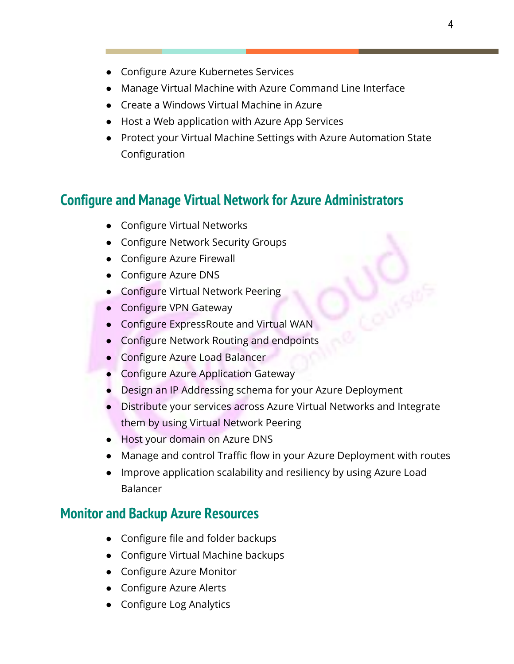- Configure Azure Kubernetes Services
- Manage Virtual Machine with Azure Command Line Interface
- Create a Windows Virtual Machine in Azure
- Host a Web application with Azure App Services
- Protect your Virtual Machine Settings with Azure Automation State Configuration

### **Configure and Manage Virtual Network for Azure Administrators**

- Configure Virtual Networks
- Configure Network Security Groups
- Configure Azure Firewall
- Configure Azure DNS
- Configure Virtual Network Peering
- Configure VPN Gateway
- Configure ExpressRoute and Virtual WAN
- Configure Network Routing and endpoints
- Configure Azure Load Balancer
- Configure Azure Application Gateway
- Design an IP Addressing schema for your Azure Deployment
- Distribute your services across Azure Virtual Networks and Integrate them by using Virtual Network Peering
- Host your domain on Azure DNS
- Manage and control Traffic flow in your Azure Deployment with routes
- Improve application scalability and resiliency by using Azure Load Balancer

#### **Monitor and Backup Azure Resources**

- Configure file and folder backups
- Configure Virtual Machine backups
- Configure Azure Monitor
- Configure Azure Alerts
- Configure Log Analytics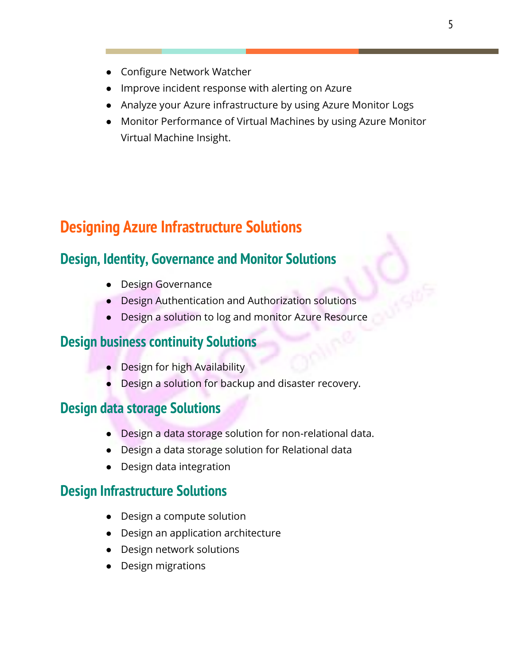- Configure Network Watcher
- Improve incident response with alerting on Azure
- Analyze your Azure infrastructure by using Azure Monitor Logs
- Monitor Performance of Virtual Machines by using Azure Monitor Virtual Machine Insight.

# **Designing Azure Infrastructure Solutions**

### **Design, Identity, Governance and Monitor Solutions**

- Design Governance
- Design Authentication and Authorization solutions
- Design a solution to log and monitor Azure Resource

#### **Design business continuity Solutions**

- Design for high Availability
- Design a solution for backup and disaster recovery.

#### **Design data storage Solutions**

- Design a data storage solution for non-relational data.
- Design a data storage solution for Relational data
- Design data integration

### **Design Infrastructure Solutions**

- Design a compute solution
- Design an application architecture
- Design network solutions
- Design migrations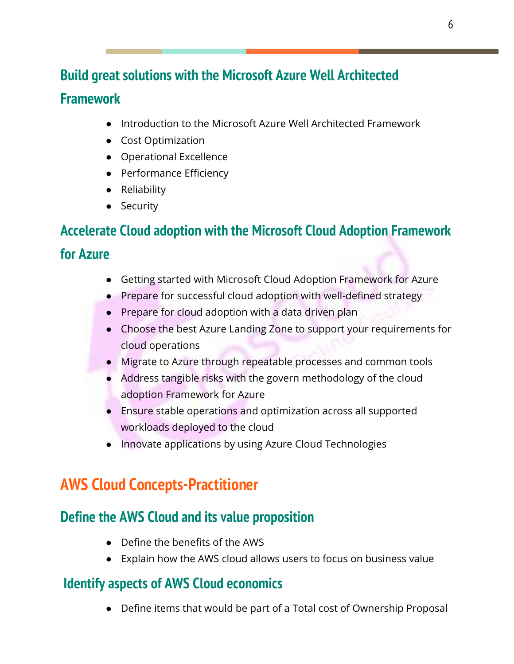# **Build great solutions with the Microsoft Azure Well Architected Framework**

- Introduction to the Microsoft Azure Well Architected Framework
- Cost Optimization
- Operational Excellence
- Performance Efficiency
- Reliability
- Security

# **Accelerate Cloud adoption with the Microsoft Cloud Adoption Framework for Azure**

- Getting started with Microsoft Cloud Adoption Framework for Azure
- Prepare for successful cloud adoption with well-defined strategy
- Prepare for cloud adoption with a data driven plan
- Choose the best Azure Landing Zone to support your requirements for cloud operations
- Migrate to Azure through repeatable processes and common tools
- Address tangible risks with the govern methodology of the cloud adoption Framework for Azure
- Ensure stable operations and optimization across all supported workloads deployed to the cloud
- Innovate applications by using Azure Cloud Technologies

# **AWS Cloud Concepts-Practitioner**

### **Define the AWS Cloud and its value proposition**

- Define the benefits of the AWS
- Explain how the AWS cloud allows users to focus on business value

### **Identify aspects of AWS Cloud economics**

● Define items that would be part of a Total cost of Ownership Proposal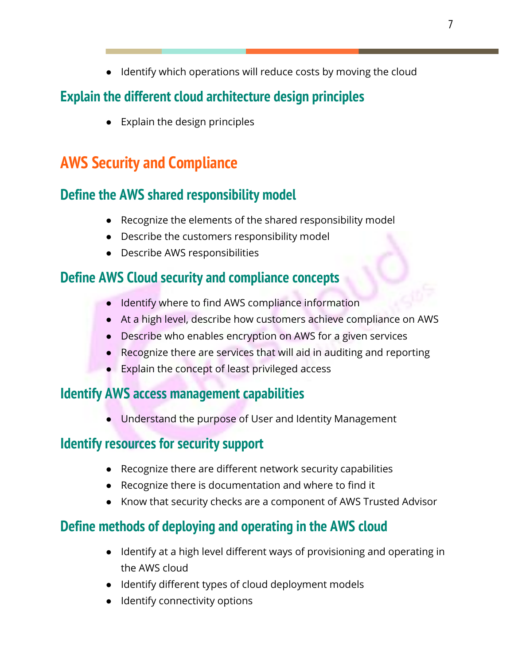● Identify which operations will reduce costs by moving the cloud

### **Explain the different cloud architecture design principles**

● Explain the design principles

# **AWS Security and Compliance**

### **Define the AWS shared responsibility model**

- Recognize the elements of the shared responsibility model
- Describe the customers responsibility model
- Describe AWS responsibilities

### **Define AWS Cloud security and compliance concepts**

- Identify where to find AWS compliance information
- At a high level, describe how customers achieve compliance on AWS
- Describe who enables encryption on AWS for a given services
- Recognize there are services that will aid in auditing and reporting
- Explain the concept of least privileged access

### **Identify AWS access management capabilities**

● Understand the purpose of User and Identity Management

### **Identify resources for security support**

- Recognize there are different network security capabilities
- Recognize there is documentation and where to find it
- Know that security checks are a component of AWS Trusted Advisor

### **Define methods of deploying and operating in the AWS cloud**

- Identify at a high level different ways of provisioning and operating in the AWS cloud
- Identify different types of cloud deployment models
- Identify connectivity options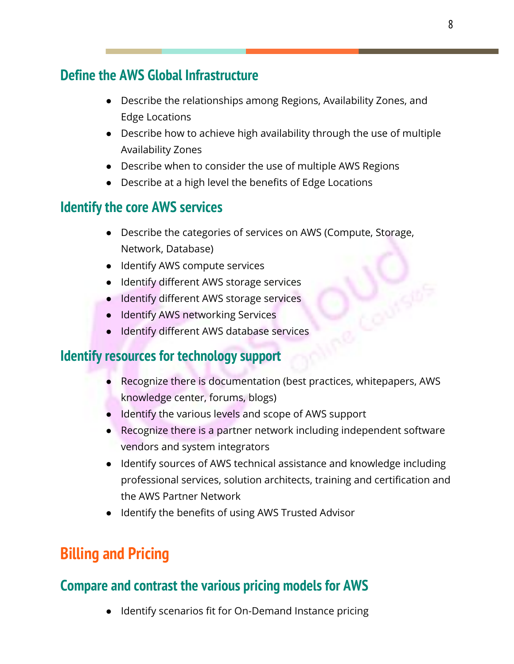### **Define the AWS Global Infrastructure**

- Describe the relationships among Regions, Availability Zones, and Edge Locations
- Describe how to achieve high availability through the use of multiple Availability Zones
- Describe when to consider the use of multiple AWS Regions
- Describe at a high level the benefits of Edge Locations

### **Identify the core AWS services**

- Describe the categories of services on AWS (Compute, Storage, Network, Database)
- Identify AWS compute services
- Identify different AWS storage services
- Identify different AWS storage services
- Identify AWS networking Services
- Identify different AWS database services

### **Identify resources for technology support**

- Recognize there is documentation (best practices, whitepapers, AWS knowledge center, forums, blogs)
- Identify the various levels and scope of AWS support
- Recognize there is a partner network including independent software vendors and system integrators
- Identify sources of AWS technical assistance and knowledge including professional services, solution architects, training and certification and the AWS Partner Network
- Identify the benefits of using AWS Trusted Advisor

# **Billing and Pricing**

### **Compare and contrast the various pricing models for AWS**

● Identify scenarios fit for On-Demand Instance pricing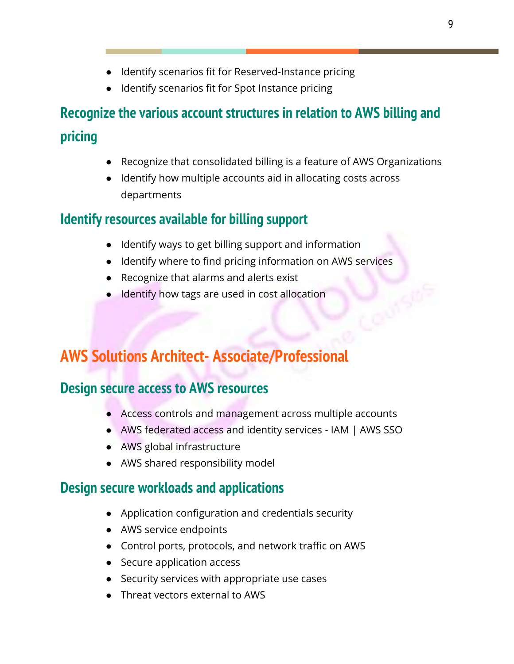- Identify scenarios fit for Reserved-Instance pricing
- Identify scenarios fit for Spot Instance pricing

# **Recognize the various account structures in relation to AWS billing and pricing**

- Recognize that consolidated billing is a feature of AWS Organizations
- Identify how multiple accounts aid in allocating costs across departments

### **Identify resources available for billing support**

- Identify ways to get billing support and information
- Identify where to find pricing information on AWS services
- Recognize that alarms and alerts exist
- Identify how tags are used in cost allocation

# **AWS Solutions Architect- Associate/Professional**

### **Design secure access to AWS resources**

- Access controls and management across multiple accounts
- AWS federated access and identity services IAM | AWS SSO
- AWS global infrastructure
- AWS shared responsibility model

### **Design secure workloads and applications**

- Application configuration and credentials security
- AWS service endpoints
- Control ports, protocols, and network traffic on AWS
- Secure application access
- Security services with appropriate use cases
- Threat vectors external to AWS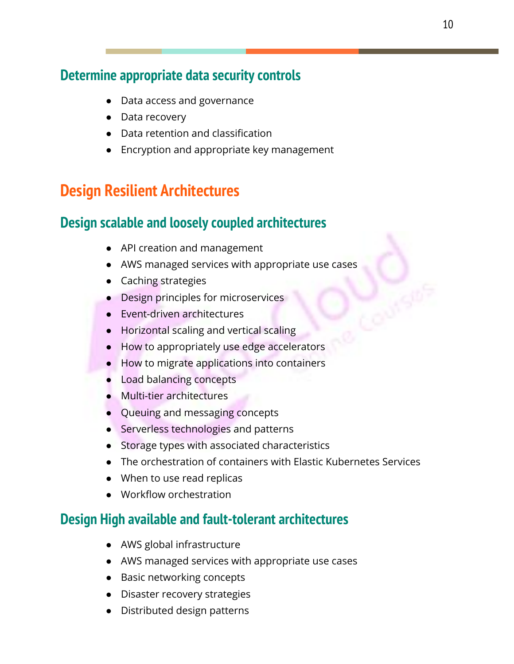### **Determine appropriate data security controls**

- Data access and governance
- Data recovery
- Data retention and classification
- Encryption and appropriate key management

### **Design Resilient Architectures**

### **Design scalable and loosely coupled architectures**

- API creation and management
- AWS managed services with appropriate use cases
- Caching strategies
- Design principles for microservices
- Event-driven architectures
- Horizontal scaling and vertical scaling
- How to appropriately use edge accelerators
- How to migrate applications into containers
- Load balancing concepts
- Multi-tier architectures
- Queuing and messaging concepts
- Serverless technologies and patterns
- Storage types with associated characteristics
- The orchestration of containers with Elastic Kubernetes Services
- When to use read replicas
- Workflow orchestration

### **Design High available and fault-tolerant architectures**

- AWS global infrastructure
- AWS managed services with appropriate use cases
- Basic networking concepts
- Disaster recovery strategies
- Distributed design patterns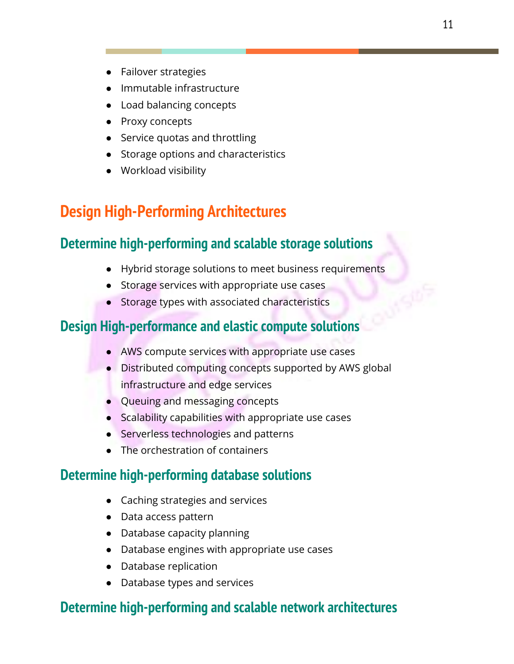- Failover strategies
- Immutable infrastructure
- Load balancing concepts
- Proxy concepts
- Service quotas and throttling
- Storage options and characteristics
- Workload visibility

# **Design High-Performing Architectures**

### **Determine high-performing and scalable storage solutions**

- Hybrid storage solutions to meet business requirements
- Storage services with appropriate use cases
- Storage types with associated characteristics

### **Design High-performance and elastic compute solutions**

- AWS compute services with appropriate use cases
- Distributed computing concepts supported by AWS global infrastructure and edge services
- Queuing and messaging concepts
- Scalability capabilities with appropriate use cases
- Serverless technologies and patterns
- The orchestration of containers

### **Determine high-performing database solutions**

- Caching strategies and services
- Data access pattern
- Database capacity planning
- Database engines with appropriate use cases
- Database replication
- Database types and services

### **Determine high-performing and scalable network architectures**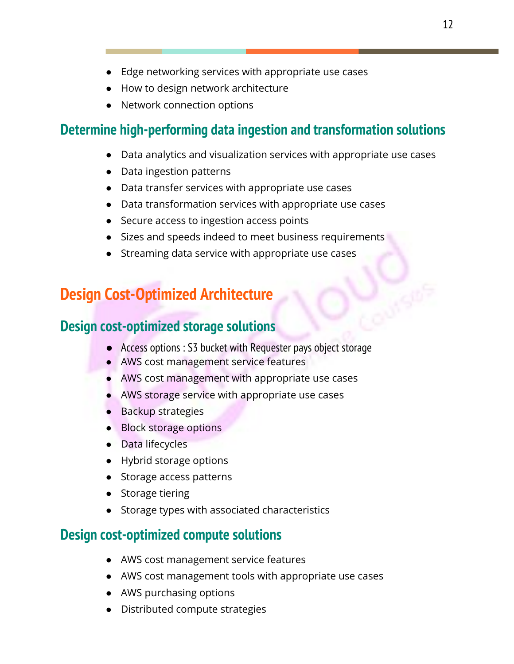- Edge networking services with appropriate use cases
- How to design network architecture
- Network connection options

### **Determine high-performing data ingestion and transformation solutions**

- Data analytics and visualization services with appropriate use cases
- Data ingestion patterns
- Data transfer services with appropriate use cases
- Data transformation services with appropriate use cases
- Secure access to ingestion access points
- Sizes and speeds indeed to meet business requirements
- Streaming data service with appropriate use cases

### **Design Cost-Optimized Architecture**

### **Design cost-optimized storage solutions**

- Access options : S3 bucket with Requester pays object storage
- AWS cost management service features
- AWS cost management with appropriate use cases
- AWS storage service with appropriate use cases
- Backup strategies
- Block storage options
- Data lifecycles
- Hybrid storage options
- Storage access patterns
- Storage tiering
- Storage types with associated characteristics

### **Design cost-optimized compute solutions**

- AWS cost management service features
- AWS cost management tools with appropriate use cases
- AWS purchasing options
- Distributed compute strategies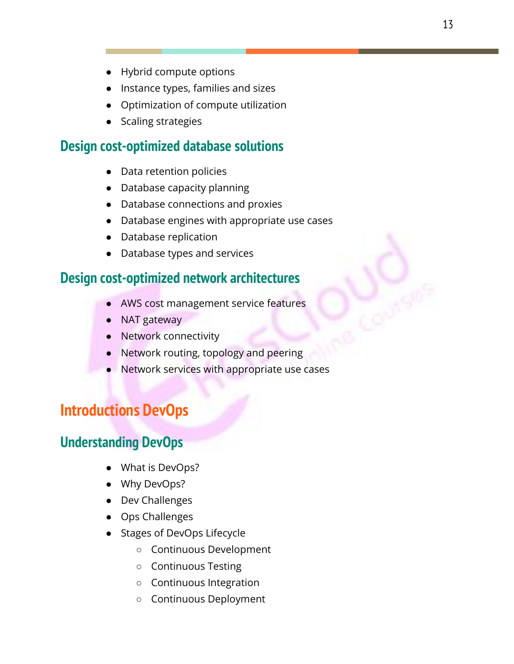- Hybrid compute options
- Instance types, families and sizes
- Optimization of compute utilization
- Scaling strategies

### **Design cost-optimized database solutions**

- Data retention policies
- Database capacity planning
- Database connections and proxies
- Database engines with appropriate use cases
- Database replication
- Database types and services

### **Design cost-optimized network architectures**

- AWS cost management service features
- NAT gateway
- Network connectivity
- Network routing, topology and peering
- Network services with appropriate use cases

### **Introductions DevOps**

### **Understanding DevOps**

- What is DevOps?
- Why DevOps?
- Dev Challenges
- Ops Challenges
- Stages of DevOps Lifecycle
	- Continuous Development
	- Continuous Testing
	- Continuous Integration
	- Continuous Deployment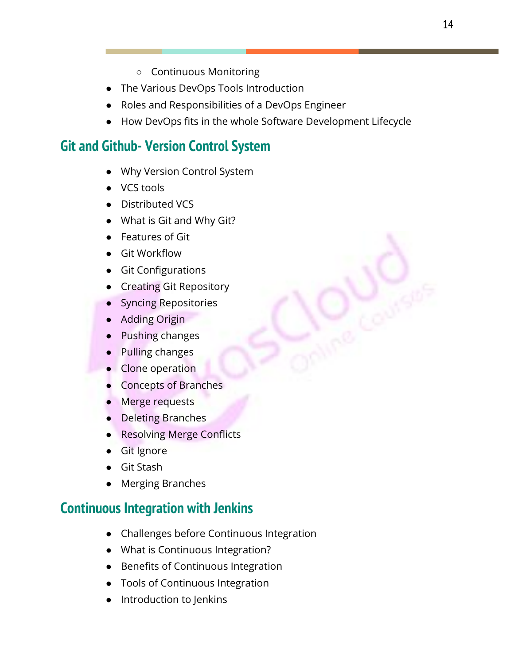- Continuous Monitoring
- The Various DevOps Tools Introduction
- Roles and Responsibilities of a DevOps Engineer
- How DevOps fits in the whole Software Development Lifecycle

### **Git and Github- Version Control System**

- Why Version Control System
- **VCS tools**
- Distributed VCS
- What is Git and Why Git?
- Features of Git
- Git Workflow
- Git Configurations
- Creating Git Repository
- **Syncing Repositories**
- Adding Origin
- Pushing changes
- Pulling changes
- Clone operation
- Concepts of Branches
- Merge requests
- Deleting Branches
- Resolving Merge Conflicts
- Git Ignore
- **Git Stash**
- **Merging Branches**

### **Continuous Integration with Jenkins**

- Challenges before Continuous Integration
- What is Continuous Integration?
- Benefits of Continuous Integration
- Tools of Continuous Integration
- Introduction to Jenkins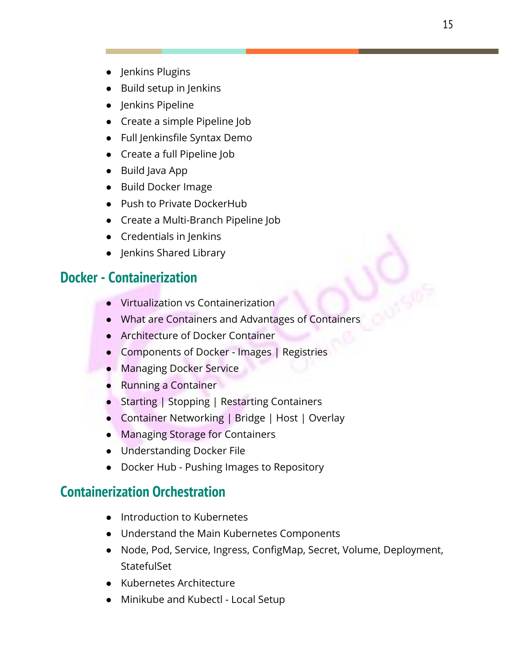- Jenkins Plugins
- Build setup in Jenkins
- Jenkins Pipeline
- Create a simple Pipeline Job
- Full Jenkinsfile Syntax Demo
- Create a full Pipeline Job
- Build Java App
- Build Docker Image
- Push to Private DockerHub
- Create a Multi-Branch Pipeline Job
- Credentials in Jenkins
- Jenkins Shared Library

### **Docker - Containerization**

- Virtualization vs Containerization
- What are Containers and Advantages of Containers
- Architecture of Docker Container
- Components of Docker Images | Registries
- Managing Docker Service
- Running a Container
- Starting | Stopping | Restarting Containers
- Container Networking | Bridge | Host | Overlay
- Managing Storage for Containers
- Understanding Docker File
- Docker Hub Pushing Images to Repository

### **Containerization Orchestration**

- Introduction to Kubernetes
- Understand the Main Kubernetes Components
- Node, Pod, Service, Ingress, ConfigMap, Secret, Volume, Deployment, **StatefulSet**
- Kubernetes Architecture
- Minikube and Kubectl Local Setup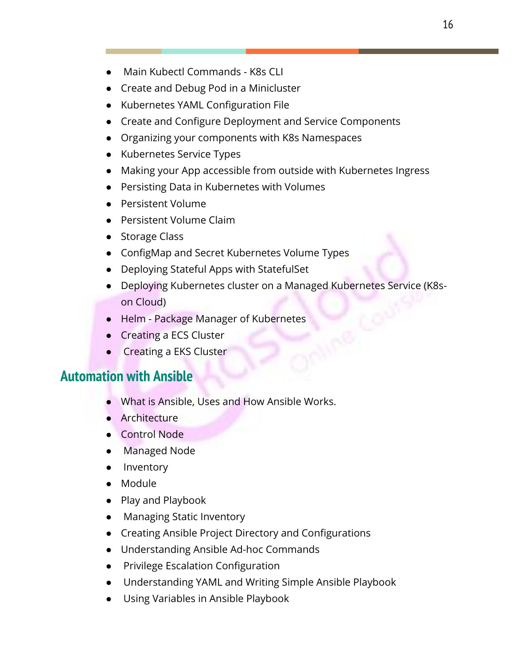- Main Kubectl Commands K8s CLI
- Create and Debug Pod in a Minicluster
- Kubernetes YAML Configuration File
- Create and Configure Deployment and Service Components
- Organizing your components with K8s Namespaces
- Kubernetes Service Types
- Making your App accessible from outside with Kubernetes Ingress
- Persisting Data in Kubernetes with Volumes
- Persistent Volume
- Persistent Volume Claim
- Storage Class
- ConfigMap and Secret Kubernetes Volume Types
- Deploying Stateful Apps with StatefulSet
- Deploying Kubernetes cluster on a Managed Kubernetes Service (K8son Cloud)
- Helm Package Manager of Kubernetes
- Creating a ECS Cluster
- Creating a EKS Cluster

### **Automation with Ansible**

- What is Ansible, Uses and How Ansible Works.
- Architecture
- Control Node
- Managed Node
- Inventory
- Module
- Play and Playbook
- Managing Static Inventory
- Creating Ansible Project Directory and Configurations
- Understanding Ansible Ad-hoc Commands
- Privilege Escalation Configuration
- Understanding YAML and Writing Simple Ansible Playbook
- Using Variables in Ansible Playbook